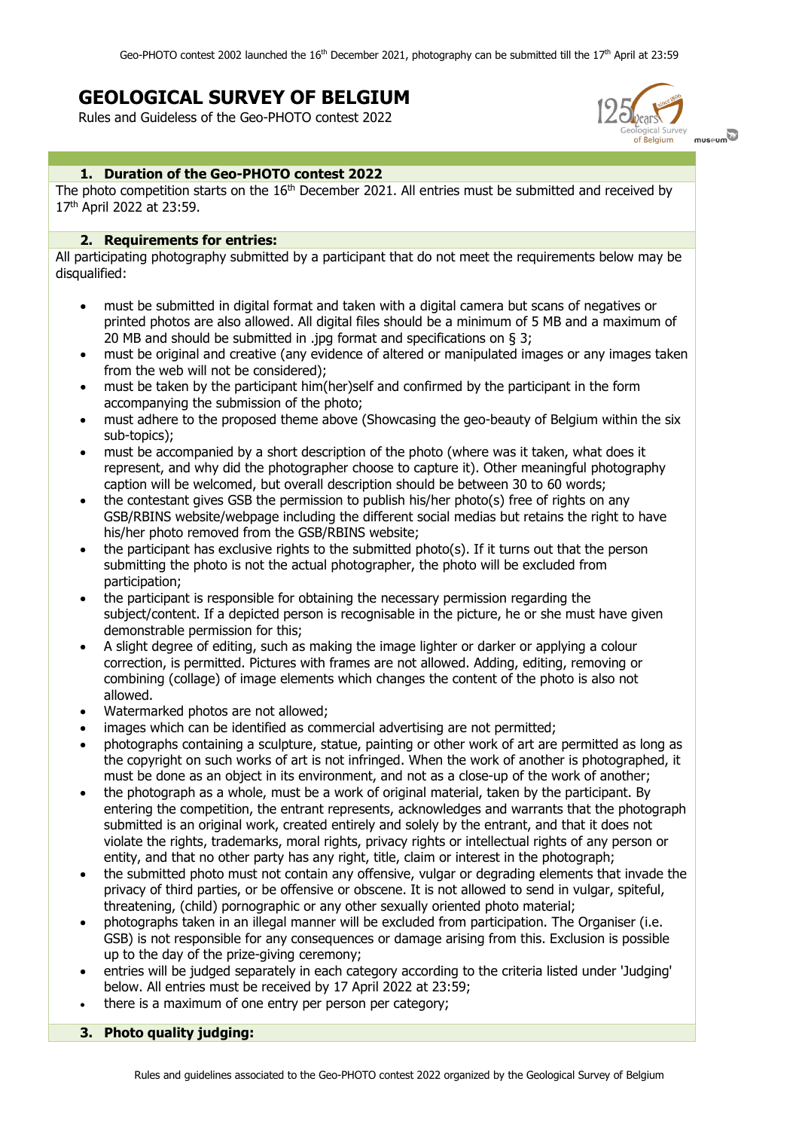# **GEOLOGICAL SURVEY OF BELGIUM**

Rules and Guideless of the Geo-PHOTO contest 2022



## **1. Duration of the Geo-PHOTO contest 2022**

The photo competition starts on the 16<sup>th</sup> December 2021. All entries must be submitted and received by 17th April 2022 at 23:59.

#### **2. Requirements for entries:**

All participating photography submitted by a participant that do not meet the requirements below may be disqualified:

- must be submitted in digital format and taken with a digital camera but scans of negatives or printed photos are also allowed. All digital files should be a minimum of 5 MB and a maximum of 20 MB and should be submitted in .jpg format and specifications on § 3;
- must be original and creative (any evidence of altered or manipulated images or any images taken from the web will not be considered);
- must be taken by the participant him(her)self and confirmed by the participant in the form accompanying the submission of the photo;
- must adhere to the proposed theme above (Showcasing the geo-beauty of Belgium within the six sub-topics);
- must be accompanied by a short description of the photo (where was it taken, what does it represent, and why did the photographer choose to capture it). Other meaningful photography caption will be welcomed, but overall description should be between 30 to 60 words;
- the contestant gives GSB the permission to publish his/her photo(s) free of rights on any GSB/RBINS website/webpage including the different social medias but retains the right to have his/her photo removed from the GSB/RBINS website;
- the participant has exclusive rights to the submitted photo(s). If it turns out that the person submitting the photo is not the actual photographer, the photo will be excluded from participation;
- the participant is responsible for obtaining the necessary permission regarding the subject/content. If a depicted person is recognisable in the picture, he or she must have given demonstrable permission for this;
- A slight degree of editing, such as making the image lighter or darker or applying a colour correction, is permitted. Pictures with frames are not allowed. Adding, editing, removing or combining (collage) of image elements which changes the content of the photo is also not allowed.
- Watermarked photos are not allowed;
- images which can be identified as commercial advertising are not permitted;
- photographs containing a sculpture, statue, painting or other work of art are permitted as long as the copyright on such works of art is not infringed. When the work of another is photographed, it must be done as an object in its environment, and not as a close-up of the work of another;
- the photograph as a whole, must be a work of original material, taken by the participant. By entering the competition, the entrant represents, acknowledges and warrants that the photograph submitted is an original work, created entirely and solely by the entrant, and that it does not violate the rights, trademarks, moral rights, privacy rights or intellectual rights of any person or entity, and that no other party has any right, title, claim or interest in the photograph;
- the submitted photo must not contain any offensive, vulgar or degrading elements that invade the privacy of third parties, or be offensive or obscene. It is not allowed to send in vulgar, spiteful, threatening, (child) pornographic or any other sexually oriented photo material;
- photographs taken in an illegal manner will be excluded from participation. The Organiser (i.e. GSB) is not responsible for any consequences or damage arising from this. Exclusion is possible up to the day of the prize-giving ceremony;
- entries will be judged separately in each category according to the criteria listed under 'Judging' below. All entries must be received by 17 April 2022 at 23:59;
- there is a maximum of one entry per person per category;
- **3. Photo quality judging:**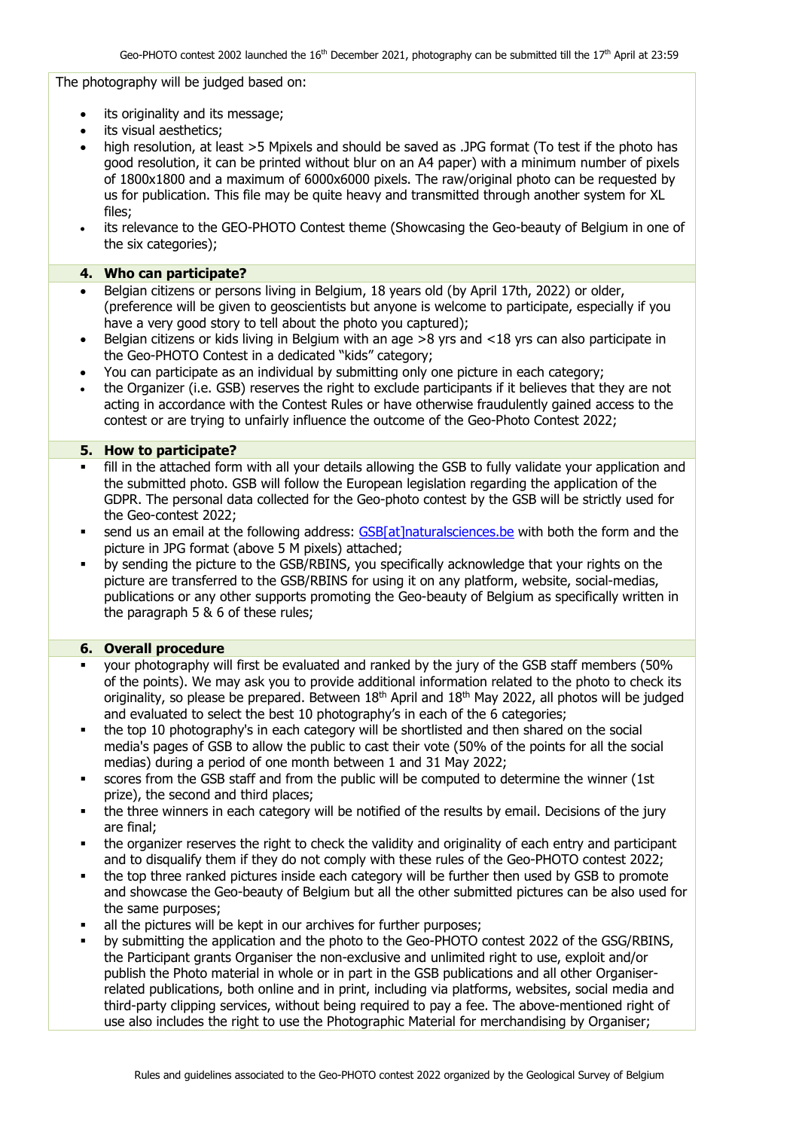The photography will be judged based on:

- its originality and its message:
- its visual aesthetics;
- high resolution, at least >5 Mpixels and should be saved as .JPG format (To test if the photo has good resolution, it can be printed without blur on an A4 paper) with a minimum number of pixels of 1800x1800 and a maximum of 6000x6000 pixels. The raw/original photo can be requested by us for publication. This file may be quite heavy and transmitted through another system for XL files;
- its relevance to the GEO-PHOTO Contest theme (Showcasing the Geo-beauty of Belgium in one of the six categories);

### **4. Who can participate?**

- Belgian citizens or persons living in Belgium, 18 years old (by April 17th, 2022) or older, (preference will be given to geoscientists but anyone is welcome to participate, especially if you have a very good story to tell about the photo you captured);
- Belgian citizens or kids living in Belgium with an age >8 yrs and <18 yrs can also participate in the Geo-PHOTO Contest in a dedicated "kids" category;
- You can participate as an individual by submitting only one picture in each category;
- the Organizer (i.e. GSB) reserves the right to exclude participants if it believes that they are not acting in accordance with the Contest Rules or have otherwise fraudulently gained access to the contest or are trying to unfairly influence the outcome of the Geo-Photo Contest 2022;

### **5. How to participate?**

- fill in the attached form with all your details allowing the GSB to fully validate your application and the submitted photo. GSB will follow the European legislation regarding the application of the GDPR. The personal data collected for the Geo-photo contest by the GSB will be strictly used for the Geo-contest 2022;
- send us an email at the following address: [GSB\[at\]naturalsciences.be](mailto:GSB@naturalsciences.be) with both the form and the picture in JPG format (above 5 M pixels) attached;
- by sending the picture to the GSB/RBINS, you specifically acknowledge that your rights on the picture are transferred to the GSB/RBINS for using it on any platform, website, social-medias, publications or any other supports promoting the Geo-beauty of Belgium as specifically written in the paragraph 5 & 6 of these rules;

### **6. Overall procedure**

- your photography will first be evaluated and ranked by the jury of the GSB staff members (50% of the points). We may ask you to provide additional information related to the photo to check its originality, so please be prepared. Between 18<sup>th</sup> April and 18<sup>th</sup> May 2022, all photos will be judged and evaluated to select the best 10 photography's in each of the 6 categories;
- the top 10 photography's in each category will be shortlisted and then shared on the social media's pages of GSB to allow the public to cast their vote (50% of the points for all the social medias) during a period of one month between 1 and 31 May 2022;
- scores from the GSB staff and from the public will be computed to determine the winner (1st prize), the second and third places;
- the three winners in each category will be notified of the results by email. Decisions of the jury are final;
- the organizer reserves the right to check the validity and originality of each entry and participant and to disqualify them if they do not comply with these rules of the Geo-PHOTO contest 2022;
- the top three ranked pictures inside each category will be further then used by GSB to promote and showcase the Geo-beauty of Belgium but all the other submitted pictures can be also used for the same purposes;
- all the pictures will be kept in our archives for further purposes;
- by submitting the application and the photo to the Geo-PHOTO contest 2022 of the GSG/RBINS, the Participant grants Organiser the non-exclusive and unlimited right to use, exploit and/or publish the Photo material in whole or in part in the GSB publications and all other Organiserrelated publications, both online and in print, including via platforms, websites, social media and third-party clipping services, without being required to pay a fee. The above-mentioned right of use also includes the right to use the Photographic Material for merchandising by Organiser;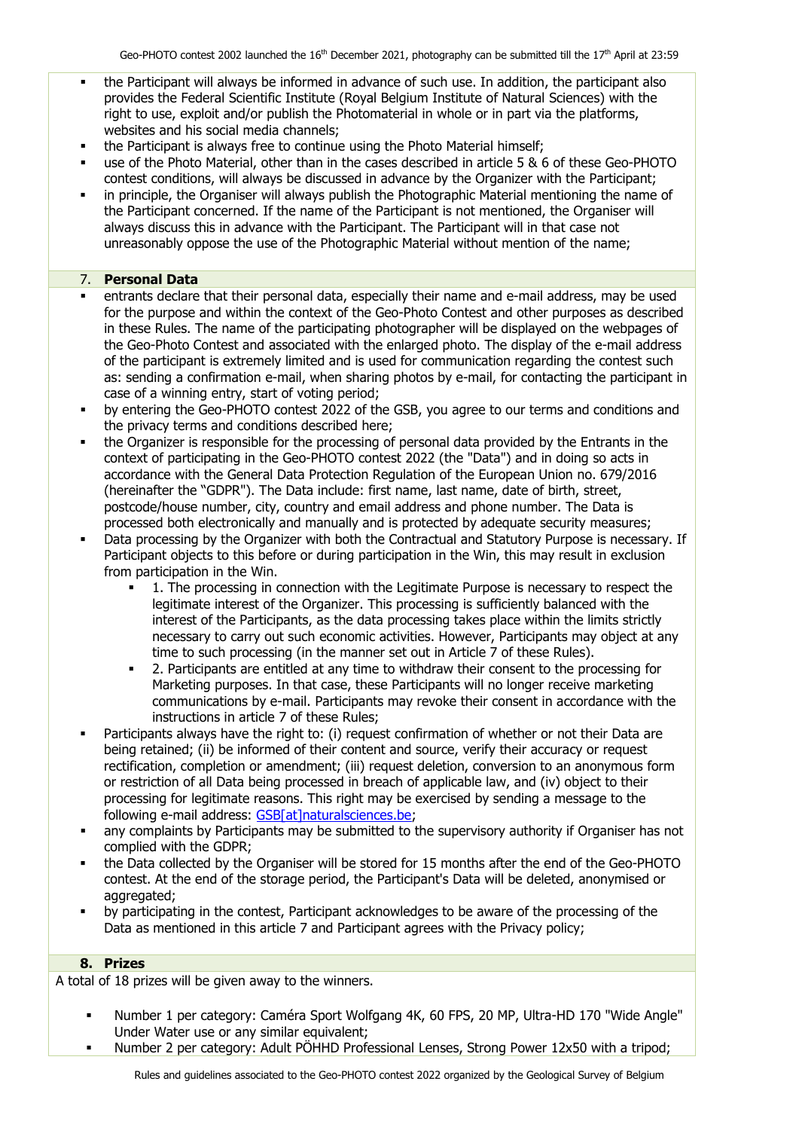- the Participant will always be informed in advance of such use. In addition, the participant also provides the Federal Scientific Institute (Royal Belgium Institute of Natural Sciences) with the right to use, exploit and/or publish the Photomaterial in whole or in part via the platforms, websites and his social media channels;
- the Participant is always free to continue using the Photo Material himself;
- use of the Photo Material, other than in the cases described in article 5 & 6 of these Geo-PHOTO contest conditions, will always be discussed in advance by the Organizer with the Participant;
- in principle, the Organiser will always publish the Photographic Material mentioning the name of the Participant concerned. If the name of the Participant is not mentioned, the Organiser will always discuss this in advance with the Participant. The Participant will in that case not unreasonably oppose the use of the Photographic Material without mention of the name;

# 7. **Personal Data**

- entrants declare that their personal data, especially their name and e-mail address, may be used for the purpose and within the context of the Geo-Photo Contest and other purposes as described in these Rules. The name of the participating photographer will be displayed on the webpages of the Geo-Photo Contest and associated with the enlarged photo. The display of the e-mail address of the participant is extremely limited and is used for communication regarding the contest such as: sending a confirmation e-mail, when sharing photos by e-mail, for contacting the participant in case of a winning entry, start of voting period;
- **•** by entering the Geo-PHOTO contest 2022 of the GSB, you agree to our terms and conditions and the privacy terms and conditions described here;
- the Organizer is responsible for the processing of personal data provided by the Entrants in the context of participating in the Geo-PHOTO contest 2022 (the "Data") and in doing so acts in accordance with the General Data Protection Regulation of the European Union no. 679/2016 (hereinafter the "GDPR"). The Data include: first name, last name, date of birth, street, postcode/house number, city, country and email address and phone number. The Data is processed both electronically and manually and is protected by adequate security measures;
- Data processing by the Organizer with both the Contractual and Statutory Purpose is necessary. If Participant objects to this before or during participation in the Win, this may result in exclusion from participation in the Win.
	- 1. The processing in connection with the Legitimate Purpose is necessary to respect the legitimate interest of the Organizer. This processing is sufficiently balanced with the interest of the Participants, as the data processing takes place within the limits strictly necessary to carry out such economic activities. However, Participants may object at any time to such processing (in the manner set out in Article 7 of these Rules).
	- 2. Participants are entitled at any time to withdraw their consent to the processing for Marketing purposes. In that case, these Participants will no longer receive marketing communications by e-mail. Participants may revoke their consent in accordance with the instructions in article 7 of these Rules;
- Participants always have the right to: (i) request confirmation of whether or not their Data are being retained; (ii) be informed of their content and source, verify their accuracy or request rectification, completion or amendment; (iii) request deletion, conversion to an anonymous form or restriction of all Data being processed in breach of applicable law, and (iv) object to their processing for legitimate reasons. This right may be exercised by sending a message to the following e-mail address: [GSB\[at\]naturalsciences.be;](mailto:GSB@naturalsciences.be)
- any complaints by Participants may be submitted to the supervisory authority if Organiser has not complied with the GDPR;
- the Data collected by the Organiser will be stored for 15 months after the end of the Geo-PHOTO contest. At the end of the storage period, the Participant's Data will be deleted, anonymised or aggregated:
- by participating in the contest, Participant acknowledges to be aware of the processing of the Data as mentioned in this article 7 and Participant agrees with the Privacy policy;

### **8. Prizes**

A total of 18 prizes will be given away to the winners.

- Number 1 per category: Caméra Sport Wolfgang 4K, 60 FPS, 20 MP, Ultra-HD 170 "Wide Angle" Under Water use or any similar equivalent;
- Number 2 per category: Adult PÖHHD Professional Lenses, Strong Power 12x50 with a tripod;